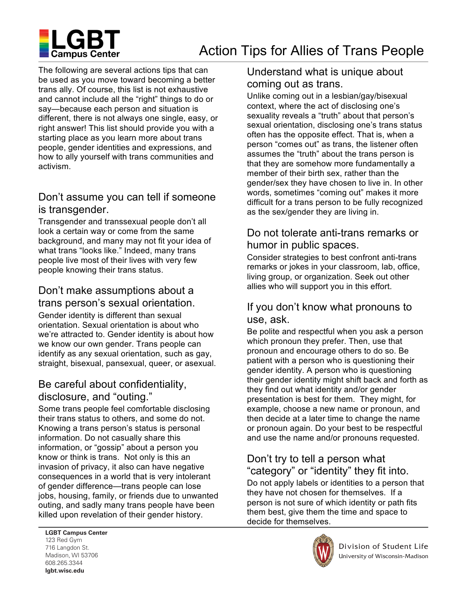

The following are several actions tips that can be used as you move toward becoming a better trans ally. Of course, this list is not exhaustive and cannot include all the "right" things to do or say—because each person and situation is different, there is not always one single, easy, or right answer! This list should provide you with a starting place as you learn more about trans people, gender identities and expressions, and how to ally yourself with trans communities and activism.

### Don't assume you can tell if someone is transgender.

Transgender and transsexual people don't all look a certain way or come from the same background, and many may not fit your idea of what trans "looks like." Indeed, many trans people live most of their lives with very few people knowing their trans status.

# Don't make assumptions about a trans person's sexual orientation.

Gender identity is different than sexual orientation. Sexual orientation is about who we're attracted to. Gender identity is about how we know our own gender. Trans people can identify as any sexual orientation, such as gay, straight, bisexual, pansexual, queer, or asexual.

## Be careful about confidentiality, disclosure, and "outing."

Some trans people feel comfortable disclosing their trans status to others, and some do not. Knowing a trans person's status is personal information. Do not casually share this information, or "gossip" about a person you know or think is trans. Not only is this an invasion of privacy, it also can have negative consequences in a world that is very intolerant of gender difference—trans people can lose jobs, housing, family, or friends due to unwanted outing, and sadly many trans people have been killed upon revelation of their gender history.

## Understand what is unique about coming out as trans.

Unlike coming out in a lesbian/gay/bisexual context, where the act of disclosing one's sexuality reveals a "truth" about that person's sexual orientation, disclosing one's trans status often has the opposite effect. That is, when a person "comes out" as trans, the listener often assumes the "truth" about the trans person is that they are somehow more fundamentally a member of their birth sex, rather than the gender/sex they have chosen to live in. In other words, sometimes "coming out" makes it more difficult for a trans person to be fully recognized as the sex/gender they are living in.

## Do not tolerate anti-trans remarks or humor in public spaces.

Consider strategies to best confront anti-trans remarks or jokes in your classroom, lab, office, living group, or organization. Seek out other allies who will support you in this effort.

## If you don't know what pronouns to use, ask.

Be polite and respectful when you ask a person which pronoun they prefer. Then, use that pronoun and encourage others to do so. Be patient with a person who is questioning their gender identity. A person who is questioning their gender identity might shift back and forth as they find out what identity and/or gender presentation is best for them. They might, for example, choose a new name or pronoun, and then decide at a later time to change the name or pronoun again. Do your best to be respectful and use the name and/or pronouns requested.

# Don't try to tell a person what "category" or "identity" they fit into.

Do not apply labels or identities to a person that they have not chosen for themselves. If a person is not sure of which identity or path fits them best, give them the time and space to decide for themselves.

123 Red Gym 716 Langdon St. لا wadison, wi<br>608.265.3344 000.200.00<del>11</del><br>Lab4.coles.coles lgbt.wisc.edu **LGBT Campus Center**  Madison, WI 53706